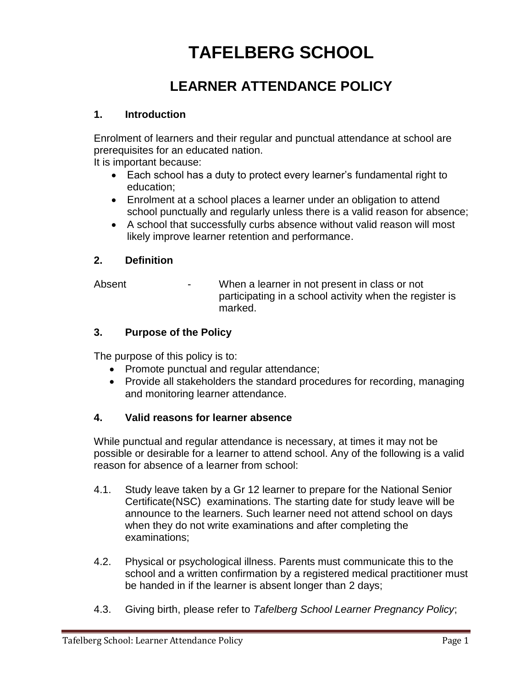# **TAFELBERG SCHOOL**

# **LEARNER ATTENDANCE POLICY**

## **1. Introduction**

Enrolment of learners and their regular and punctual attendance at school are prerequisites for an educated nation.

It is important because:

- Each school has a duty to protect every learner's fundamental right to education;
- Enrolment at a school places a learner under an obligation to attend school punctually and regularly unless there is a valid reason for absence;
- A school that successfully curbs absence without valid reason will most likely improve learner retention and performance.

# **2. Definition**

Absent The Summan Holder in not present in class or not participating in a school activity when the register is marked.

# **3. Purpose of the Policy**

The purpose of this policy is to:

- Promote punctual and regular attendance;
- Provide all stakeholders the standard procedures for recording, managing and monitoring learner attendance.

# **4. Valid reasons for learner absence**

While punctual and regular attendance is necessary, at times it may not be possible or desirable for a learner to attend school. Any of the following is a valid reason for absence of a learner from school:

- 4.1. Study leave taken by a Gr 12 learner to prepare for the National Senior Certificate(NSC) examinations. The starting date for study leave will be announce to the learners. Such learner need not attend school on days when they do not write examinations and after completing the examinations;
- 4.2. Physical or psychological illness. Parents must communicate this to the school and a written confirmation by a registered medical practitioner must be handed in if the learner is absent longer than 2 days;
- 4.3. Giving birth, please refer to *Tafelberg School Learner Pregnancy Policy*;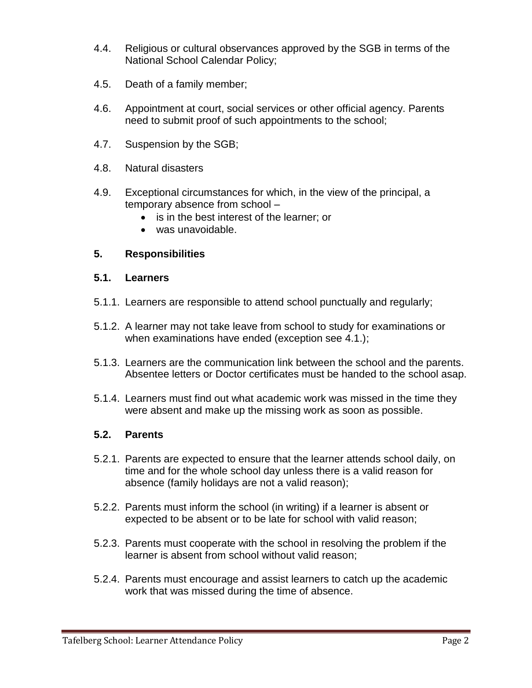- 4.4. Religious or cultural observances approved by the SGB in terms of the National School Calendar Policy;
- 4.5. Death of a family member;
- 4.6. Appointment at court, social services or other official agency. Parents need to submit proof of such appointments to the school;
- 4.7. Suspension by the SGB;
- 4.8. Natural disasters
- 4.9. Exceptional circumstances for which, in the view of the principal, a temporary absence from school –
	- is in the best interest of the learner; or
	- was unavoidable.

#### **5. Responsibilities**

#### **5.1. Learners**

- 5.1.1. Learners are responsible to attend school punctually and regularly;
- 5.1.2. A learner may not take leave from school to study for examinations or when examinations have ended (exception see 4.1.);
- 5.1.3. Learners are the communication link between the school and the parents. Absentee letters or Doctor certificates must be handed to the school asap.
- 5.1.4. Learners must find out what academic work was missed in the time they were absent and make up the missing work as soon as possible.

#### **5.2. Parents**

- 5.2.1. Parents are expected to ensure that the learner attends school daily, on time and for the whole school day unless there is a valid reason for absence (family holidays are not a valid reason);
- 5.2.2. Parents must inform the school (in writing) if a learner is absent or expected to be absent or to be late for school with valid reason;
- 5.2.3. Parents must cooperate with the school in resolving the problem if the learner is absent from school without valid reason;
- 5.2.4. Parents must encourage and assist learners to catch up the academic work that was missed during the time of absence.